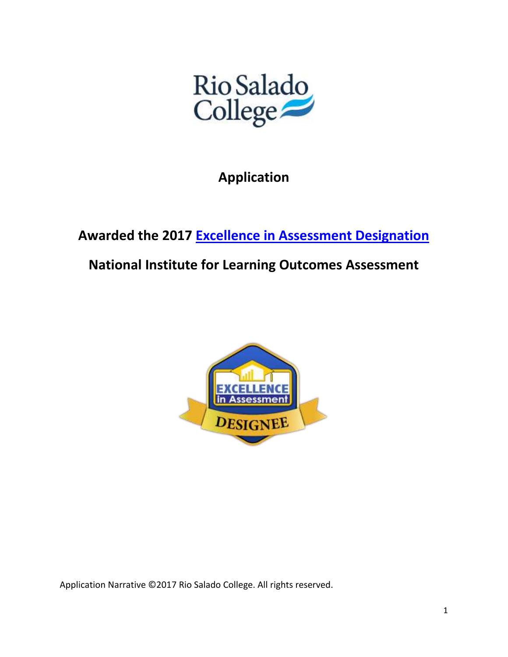

**Application**

**Awarded the 2017 [Excellence in Assessment Designation](http://www.learningoutcomesassessment.org/eiadesignation.html)**

**National Institute for Learning Outcomes Assessment**



Application Narrative ©2017 Rio Salado College. All rights reserved.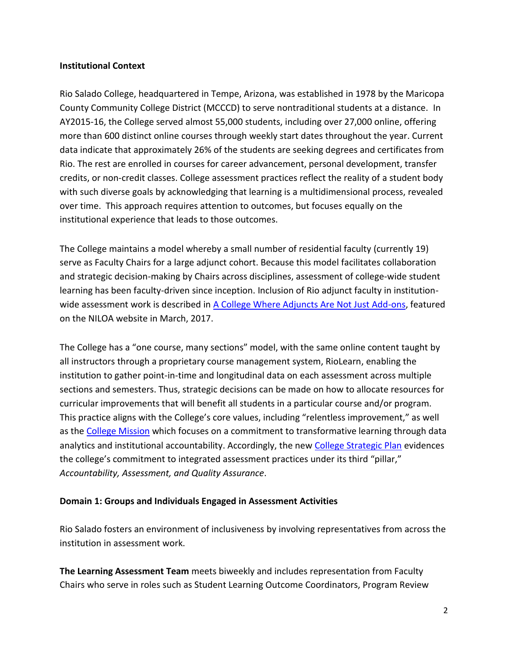### **Institutional Context**

Rio Salado College, headquartered in Tempe, Arizona, was established in 1978 by the Maricopa County Community College District (MCCCD) to serve nontraditional students at a distance. In AY2015-16, the College served almost 55,000 students, including over 27,000 online, offering more than 600 distinct online courses through weekly start dates throughout the year. Current data indicate that approximately 26% of the students are seeking degrees and certificates from Rio. The rest are enrolled in courses for career advancement, personal development, transfer credits, or non-credit classes. College assessment practices reflect the reality of a student body with such diverse goals by acknowledging that learning is a multidimensional process, revealed over time. This approach requires attention to outcomes, but focuses equally on the institutional experience that leads to those outcomes.

The College maintains a model whereby a small number of residential faculty (currently 19) serve as Faculty Chairs for a large adjunct cohort. Because this model facilitates collaboration and strategic decision-making by Chairs across disciplines, assessment of college-wide student learning has been faculty-driven since inception. Inclusion of Rio adjunct faculty in institution-wide assessment work is described in [A College Where Adjuncts Are Not Just Add-ons,](http://www.learningoutcomeassessment.org/documents/Assessment_in_Practice_Rio_Salado.pdf) featured on the NILOA website in March, 2017.

The College has a "one course, many sections" model, with the same online content taught by all instructors through a proprietary course management system, RioLearn, enabling the institution to gather point-in-time and longitudinal data on each assessment across multiple sections and semesters. Thus, strategic decisions can be made on how to allocate resources for curricular improvements that will benefit all students in a particular course and/or program. This practice aligns with the College's core values, including "relentless improvement," as well as the [College Mission](http://www.riosalado.edu/about/research-planning/Pages/culture.aspx) which focuses on a commitment to transformative learning through data analytics and institutional accountability. Accordingly, the new [College Strategic Plan](http://www.riosalado.edu/about/research-planning/Documents/RSC-Strategic-Plan.pdf) evidences the college's commitment to integrated assessment practices under its third "pillar," *Accountability, Assessment, and Quality Assurance*.

### **Domain 1: Groups and Individuals Engaged in Assessment Activities**

Rio Salado fosters an environment of inclusiveness by involving representatives from across the institution in assessment work.

**The Learning Assessment Team** meets biweekly and includes representation from Faculty Chairs who serve in roles such as Student Learning Outcome Coordinators, Program Review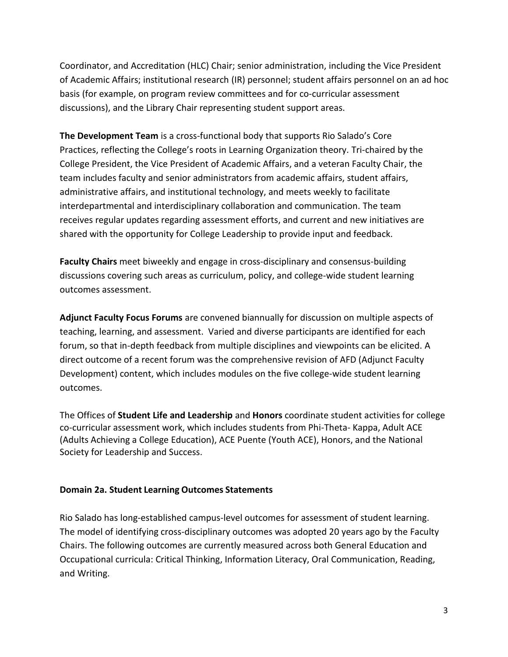Coordinator, and Accreditation (HLC) Chair; senior administration, including the Vice President of Academic Affairs; institutional research (IR) personnel; student affairs personnel on an ad hoc basis (for example, on program review committees and for co-curricular assessment discussions), and the Library Chair representing student support areas.

**The Development Team** is a cross-functional body that supports Rio Salado's Core Practices, reflecting the College's roots in Learning Organization theory. Tri-chaired by the College President, the Vice President of Academic Affairs, and a veteran Faculty Chair, the team includes faculty and senior administrators from academic affairs, student affairs, administrative affairs, and institutional technology, and meets weekly to facilitate interdepartmental and interdisciplinary collaboration and communication. The team receives regular updates regarding assessment efforts, and current and new initiatives are shared with the opportunity for College Leadership to provide input and feedback.

**Faculty Chairs** meet biweekly and engage in cross-disciplinary and consensus-building discussions covering such areas as curriculum, policy, and college-wide student learning outcomes assessment.

**Adjunct Faculty Focus Forums** are convened biannually for discussion on multiple aspects of teaching, learning, and assessment. Varied and diverse participants are identified for each forum, so that in-depth feedback from multiple disciplines and viewpoints can be elicited. A direct outcome of a recent forum was the comprehensive revision of AFD (Adjunct Faculty Development) content, which includes modules on the five college-wide student learning outcomes.

The Offices of **Student Life and Leadership** and **Honors** coordinate student activities for college co-curricular assessment work, which includes students from Phi-Theta- Kappa, Adult ACE (Adults Achieving a College Education), ACE Puente (Youth ACE), Honors, and the National Society for Leadership and Success.

## **Domain 2a. Student Learning Outcomes Statements**

Rio Salado has long-established campus-level outcomes for assessment of student learning. The model of identifying cross-disciplinary outcomes was adopted 20 years ago by the Faculty Chairs. The following outcomes are currently measured across both General Education and Occupational curricula: Critical Thinking, Information Literacy, Oral Communication, Reading, and Writing.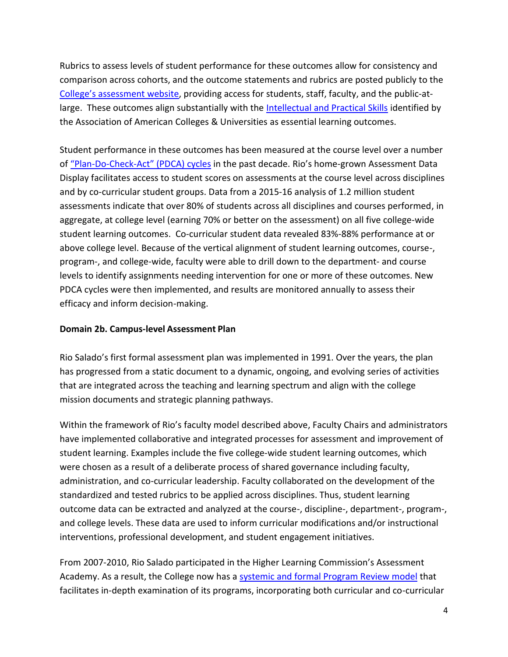Rubrics to assess levels of student performance for these outcomes allow for consistency and comparison across cohorts, and the outcome statements and rubrics are posted publicly to the College's [assessment website,](http://www.riosalado.edu/about/teaching-learning/assessment/Pages/SLO.aspx) providing access for students, staff, faculty, and the public-atlarge. These outcomes align substantially with the **Intellectual and Practical Skills identified by** the Association of American Colleges & Universities as essential learning outcomes.

Student performance in these outcomes has been measured at the course level over a number of "Plan-Do-Check-Act" [\(PDCA\) cycles](http://www.riosalado.edu/about/research-planning/accreditation/self-study/Documents/7144BR_PDCAaidS11.pdf) in the past decade. Rio's home-grown Assessment Data Display facilitates access to student scores on assessments at the course level across disciplines and by co-curricular student groups. Data from a 2015-16 analysis of 1.2 million student assessments indicate that over 80% of students across all disciplines and courses performed, in aggregate, at college level (earning 70% or better on the assessment) on all five college-wide student learning outcomes. Co‐curricular student data revealed 83%‐88% performance at or above college level. Because of the vertical alignment of student learning outcomes, course-, program-, and college-wide, faculty were able to drill down to the department- and course levels to identify assignments needing intervention for one or more of these outcomes. New PDCA cycles were then implemented, and results are monitored annually to assess their efficacy and inform decision-making.

### **Domain 2b. Campus-level Assessment Plan**

Rio Salado's first formal assessment plan was implemented in 1991. Over the years, the plan has progressed from a static document to a dynamic, ongoing, and evolving series of activities that are integrated across the teaching and learning spectrum and align with the college mission documents and strategic planning pathways.

Within the framework of Rio's faculty model described above, Faculty Chairs and administrators have implemented collaborative and integrated processes for assessment and improvement of student learning. Examples include the five college-wide student learning outcomes, which were chosen as a result of a deliberate process of shared governance including faculty, administration, and co-curricular leadership. Faculty collaborated on the development of the standardized and tested rubrics to be applied across disciplines. Thus, student learning outcome data can be extracted and analyzed at the course-, discipline-, department-, program-, and college levels. These data are used to inform curricular modifications and/or instructional interventions, professional development, and student engagement initiatives.

From 2007-2010, Rio Salado participated in the Higher Learning Commission's Assessment Academy. As a result, the College now has [a systemic and formal Program Review](http://www.riosalado.edu/about/teaching-learning/assessment/Documents/Program-Review-Model-Process.pdf) model that facilitates in-depth examination of its programs, incorporating both curricular and co-curricular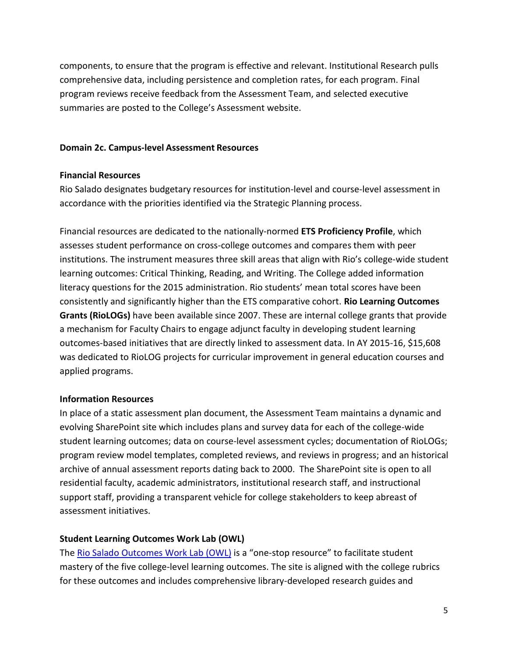components, to ensure that the program is effective and relevant. Institutional Research pulls comprehensive data, including persistence and completion rates, for each program. Final program reviews receive feedback from the Assessment Team, and selected executive summaries are posted to the College's Assessment website.

#### **Domain 2c. Campus-level Assessment Resources**

#### **Financial Resources**

Rio Salado designates budgetary resources for institution-level and course-level assessment in accordance with the priorities identified via the Strategic Planning process.

Financial resources are dedicated to the nationally-normed **ETS Proficiency Profile**, which assesses student performance on cross-college outcomes and compares them with peer institutions. The instrument measures three skill areas that align with Rio's college-wide student learning outcomes: Critical Thinking, Reading, and Writing. The College added information literacy questions for the 2015 administration. Rio students' mean total scores have been consistently and significantly higher than the ETS comparative cohort. **Rio Learning Outcomes Grants (RioLOGs)** have been available since 2007. These are internal college grants that provide a mechanism for Faculty Chairs to engage adjunct faculty in developing student learning outcomes-based initiatives that are directly linked to assessment data. In AY 2015-16, \$15,608 was dedicated to RioLOG projects for curricular improvement in general education courses and applied programs.

### **Information Resources**

In place of a static assessment plan document, the Assessment Team maintains a dynamic and evolving SharePoint site which includes plans and survey data for each of the college-wide student learning outcomes; data on course-level assessment cycles; documentation of RioLOGs; program review model templates, completed reviews, and reviews in progress; and an historical archive of annual assessment reports dating back to 2000. The SharePoint site is open to all residential faculty, academic administrators, institutional research staff, and instructional support staff, providing a transparent vehicle for college stakeholders to keep abreast of assessment initiatives.

### **Student Learning Outcomes Work Lab (OWL)**

The [Rio Salado Outcomes Work Lab \(OWL\)](http://www.riosalado.edu/library/owl/Pages/default.aspx) is a "one-stop resource" to facilitate student mastery of the five college-level learning outcomes. The site is aligned with the college rubrics for these outcomes and includes comprehensive library-developed research guides and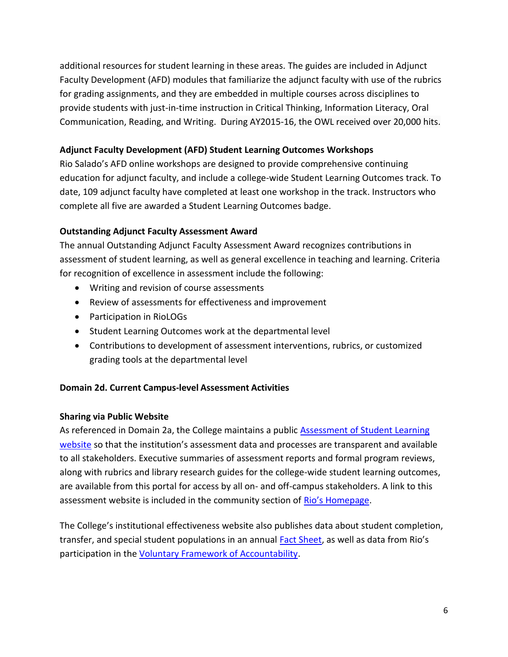additional resources for student learning in these areas. The guides are included in Adjunct Faculty Development (AFD) modules that familiarize the adjunct faculty with use of the rubrics for grading assignments, and they are embedded in multiple courses across disciplines to provide students with just-in-time instruction in Critical Thinking, Information Literacy, Oral Communication, Reading, and Writing. During AY2015-16, the OWL received over 20,000 hits.

## **Adjunct Faculty Development (AFD) Student Learning Outcomes Workshops**

Rio Salado's AFD online workshops are designed to provide comprehensive continuing education for adjunct faculty, and include a college-wide Student Learning Outcomes track. To date, 109 adjunct faculty have completed at least one workshop in the track. Instructors who complete all five are awarded a Student Learning Outcomes badge.

### **Outstanding Adjunct Faculty Assessment Award**

The annual Outstanding Adjunct Faculty Assessment Award recognizes contributions in assessment of student learning, as well as general excellence in teaching and learning. Criteria for recognition of excellence in assessment include the following:

- Writing and revision of course assessments
- Review of assessments for effectiveness and improvement
- Participation in RioLOGs
- Student Learning Outcomes work at the departmental level
- Contributions to development of assessment interventions, rubrics, or customized grading tools at the departmental level

### **Domain 2d. Current Campus-level Assessment Activities**

### **Sharing via Public Website**

As referenced in Domain 2a, the College maintains a publi[c Assessment of Student Learning](http://www.riosalado.edu/about/teaching-learning/assessment/Pages/SLO.aspx)  [website](http://www.riosalado.edu/about/teaching-learning/assessment/Pages/SLO.aspx) so that the institution's assessment data and processes are transparent and available to all stakeholders. Executive summaries of assessment reports and formal program reviews, along with rubrics and library research guides for the college-wide student learning outcomes, are available from this portal for access by all on- and off-campus stakeholders. A link to this assessment website is included in the community section of [Rio's Homepage](http://www.riosalado.edu/Pages/default.aspx).

The College's institutional effectiveness website also publishes data about student completion, transfer, and special student populations in an annual [Fact Sheet](http://www.riosalado.edu/about/news-resources/Documents/2015-16-RSC-Fact-Sheet.pdf), as well as data from Rio's participation in the [Voluntary Framework of Accountability.](http://www.riosalado.edu/about/research-planning/Documents/VFA-2016-Public-Outcomes-Report.pdf)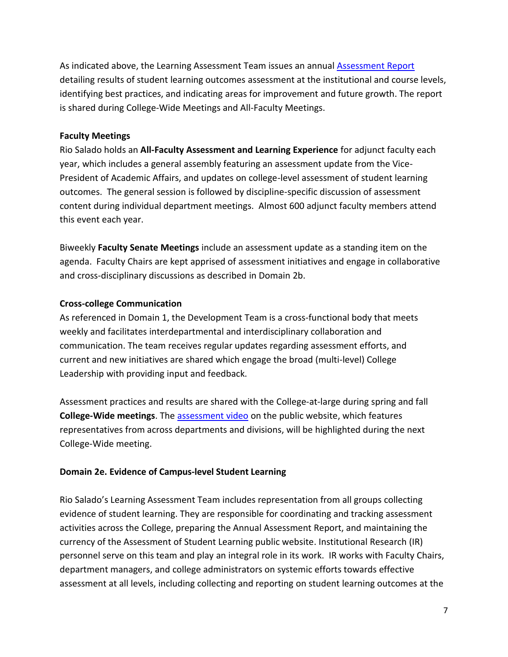As indicated above, the Learning Assessment Team issues an annual [Assessment Report](http://www.riosalado.edu/about/teaching-learning/assessment/Documents/2015-2016Learning-Assessment-Report.pdf) detailing results of student learning outcomes assessment at the institutional and course levels, identifying best practices, and indicating areas for improvement and future growth. The report is shared during College-Wide Meetings and All-Faculty Meetings.

### **Faculty Meetings**

Rio Salado holds an **All-Faculty Assessment and Learning Experience** for adjunct faculty each year, which includes a general assembly featuring an assessment update from the Vice-President of Academic Affairs, and updates on college-level assessment of student learning outcomes. The general session is followed by discipline-specific discussion of assessment content during individual department meetings. Almost 600 adjunct faculty members attend this event each year.

Biweekly **Faculty Senate Meetings** include an assessment update as a standing item on the agenda. Faculty Chairs are kept apprised of assessment initiatives and engage in collaborative and cross-disciplinary discussions as described in Domain 2b.

# **Cross-college Communication**

As referenced in Domain 1, the Development Team is a cross-functional body that meets weekly and facilitates interdepartmental and interdisciplinary collaboration and communication. The team receives regular updates regarding assessment efforts, and current and new initiatives are shared which engage the broad (multi-level) College Leadership with providing input and feedback.

Assessment practices and results are shared with the College-at-large during spring and fall **College-Wide meetings**. The [assessment video](http://www.riosalado.edu/ABOUT/TEACHING-LEARNING/ASSESSMENT/Pages/SLO.aspx) on the public website, which features representatives from across departments and divisions, will be highlighted during the next College-Wide meeting.

## **Domain 2e. Evidence of Campus-level Student Learning**

Rio Salado's Learning Assessment Team includes representation from all groups collecting evidence of student learning. They are responsible for coordinating and tracking assessment activities across the College, preparing the Annual Assessment Report, and maintaining the currency of the Assessment of Student Learning public website. Institutional Research (IR) personnel serve on this team and play an integral role in its work. IR works with Faculty Chairs, department managers, and college administrators on systemic efforts towards effective assessment at all levels, including collecting and reporting on student learning outcomes at the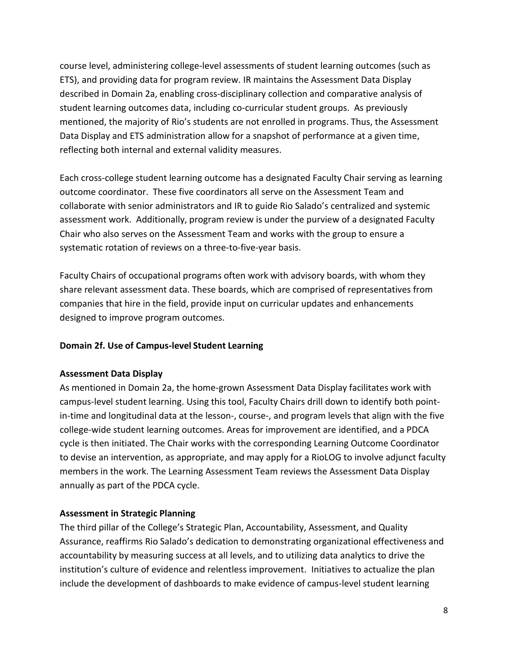course level, administering college-level assessments of student learning outcomes (such as ETS), and providing data for program review. IR maintains the Assessment Data Display described in Domain 2a, enabling cross-disciplinary collection and comparative analysis of student learning outcomes data, including co-curricular student groups. As previously mentioned, the majority of Rio's students are not enrolled in programs. Thus, the Assessment Data Display and ETS administration allow for a snapshot of performance at a given time, reflecting both internal and external validity measures.

Each cross-college student learning outcome has a designated Faculty Chair serving as learning outcome coordinator. These five coordinators all serve on the Assessment Team and collaborate with senior administrators and IR to guide Rio Salado's centralized and systemic assessment work. Additionally, program review is under the purview of a designated Faculty Chair who also serves on the Assessment Team and works with the group to ensure a systematic rotation of reviews on a three-to-five-year basis.

Faculty Chairs of occupational programs often work with advisory boards, with whom they share relevant assessment data. These boards, which are comprised of representatives from companies that hire in the field, provide input on curricular updates and enhancements designed to improve program outcomes.

## **Domain 2f. Use of Campus-level Student Learning**

## **Assessment Data Display**

As mentioned in Domain 2a, the home-grown Assessment Data Display facilitates work with campus-level student learning. Using this tool, Faculty Chairs drill down to identify both pointin-time and longitudinal data at the lesson-, course-, and program levels that align with the five college-wide student learning outcomes. Areas for improvement are identified, and a PDCA cycle is then initiated. The Chair works with the corresponding Learning Outcome Coordinator to devise an intervention, as appropriate, and may apply for a RioLOG to involve adjunct faculty members in the work. The Learning Assessment Team reviews the Assessment Data Display annually as part of the PDCA cycle.

## **Assessment in Strategic Planning**

The third pillar of the College's Strategic Plan, Accountability, Assessment, and Quality Assurance, reaffirms Rio Salado's dedication to demonstrating organizational effectiveness and accountability by measuring success at all levels, and to utilizing data analytics to drive the institution's culture of evidence and relentless improvement. Initiatives to actualize the plan include the development of dashboards to make evidence of campus-level student learning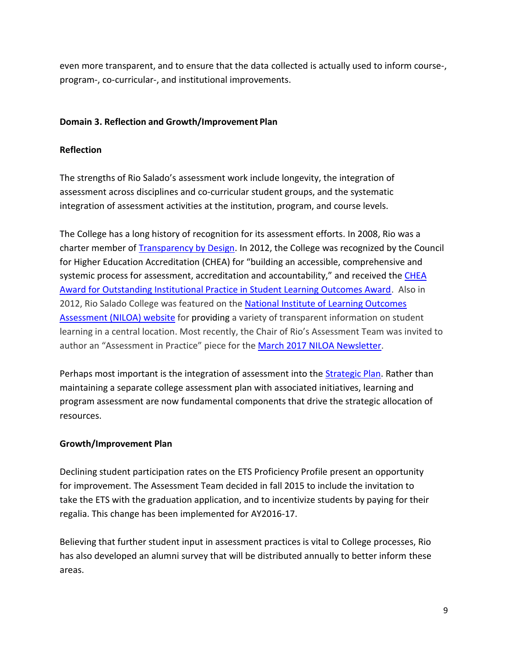even more transparent, and to ensure that the data collected is actually used to inform course-, program-, co-curricular-, and institutional improvements.

# **Domain 3. Reflection and Growth/Improvement Plan**

# **Reflection**

The strengths of Rio Salado's assessment work include longevity, the integration of assessment across disciplines and co-curricular student groups, and the systematic integration of assessment activities at the institution, program, and course levels.

The College has a long history of recognition for its assessment efforts. In 2008, Rio was a charter member of [Transparency by Design.](http://wcet.wiche.edu/initiatives/past-projects/transparency-by-design) In 2012, the College was recognized by the Council for Higher Education Accreditation (CHEA) for "building an accessible, comprehensive and systemic process for assessment, accreditation and accountability," and received the CHEA [Award for Outstanding Institutional Practice in Student Learning Outcomes Award.](https://kry224-site0001.maxesp.net/chea%20award/CHEA_Awards_All.html#2012 Awards) Also in 2012, Rio Salado College was featured on the [National Institute of Learning Outcomes](http://www.learningoutcomesassessment.org/FeaturedWebsiteriosalado.html)  [Assessment \(NILOA\) website](http://www.learningoutcomesassessment.org/FeaturedWebsiteriosalado.html) for providing a variety of transparent information on student learning in a central location. Most recently, the Chair of Rio's Assessment Team was invited to author an "Assessment in Practice" piece for the March 2017 [NILOA Newsletter.](http://illinois.edu/emailer/newsletter/123944.html)

Perhaps most important is the integration of assessment into the **Strategic Plan**. Rather than maintaining a separate college assessment plan with associated initiatives, learning and program assessment are now fundamental components that drive the strategic allocation of resources.

## **Growth/Improvement Plan**

Declining student participation rates on the ETS Proficiency Profile present an opportunity for improvement. The Assessment Team decided in fall 2015 to include the invitation to take the ETS with the graduation application, and to incentivize students by paying for their regalia. This change has been implemented for AY2016-17.

Believing that further student input in assessment practices is vital to College processes, Rio has also developed an alumni survey that will be distributed annually to better inform these areas.